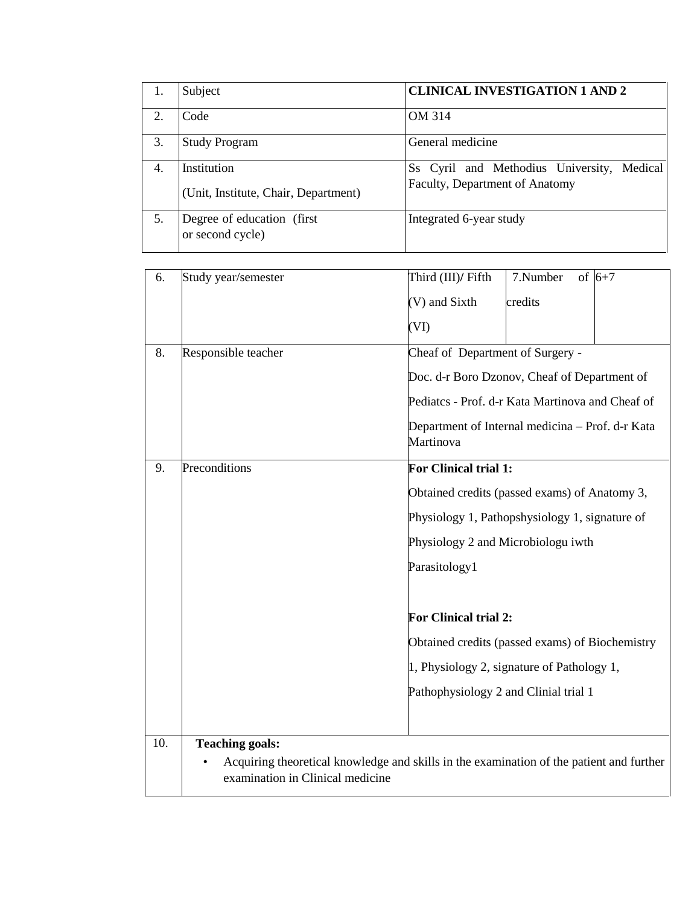|    | Subject                                        | <b>CLINICAL INVESTIGATION 1 AND 2</b>      |
|----|------------------------------------------------|--------------------------------------------|
| 2  | Code                                           | OM 314                                     |
| 3. | <b>Study Program</b>                           | General medicine                           |
| 4. | Institution                                    | Ss Cyril and Methodius University, Medical |
|    | (Unit, Institute, Chair, Department)           | Faculty, Department of Anatomy             |
| 5. | Degree of education (first<br>or second cycle) | Integrated 6-year study                    |

| 6.  | Study year/semester                                                                                                          | 7.Number<br>of $6+7$<br>Third (III)/ Fifth                    |  |  |
|-----|------------------------------------------------------------------------------------------------------------------------------|---------------------------------------------------------------|--|--|
|     |                                                                                                                              | (V) and Sixth<br>credits                                      |  |  |
|     |                                                                                                                              | (VI)                                                          |  |  |
| 8.  | Responsible teacher                                                                                                          | Cheaf of Department of Surgery -                              |  |  |
|     |                                                                                                                              | Doc. d-r Boro Dzonov, Cheaf of Department of                  |  |  |
|     |                                                                                                                              | Pediatcs - Prof. d-r Kata Martinova and Cheaf of              |  |  |
|     |                                                                                                                              | Department of Internal medicina - Prof. d-r Kata<br>Martinova |  |  |
| 9.  | Preconditions                                                                                                                | <b>For Clinical trial 1:</b>                                  |  |  |
|     |                                                                                                                              | Obtained credits (passed exams) of Anatomy 3,                 |  |  |
|     |                                                                                                                              | Physiology 1, Pathopshysiology 1, signature of                |  |  |
|     |                                                                                                                              | Physiology 2 and Microbiologu iwth                            |  |  |
|     |                                                                                                                              | Parasitology1                                                 |  |  |
|     |                                                                                                                              | <b>For Clinical trial 2:</b>                                  |  |  |
|     |                                                                                                                              | Obtained credits (passed exams) of Biochemistry               |  |  |
|     |                                                                                                                              | 1, Physiology 2, signature of Pathology 1,                    |  |  |
|     |                                                                                                                              | Pathophysiology 2 and Clinial trial 1                         |  |  |
|     |                                                                                                                              |                                                               |  |  |
| 10. | <b>Teaching goals:</b>                                                                                                       |                                                               |  |  |
|     | Acquiring theoretical knowledge and skills in the examination of the patient and further<br>examination in Clinical medicine |                                                               |  |  |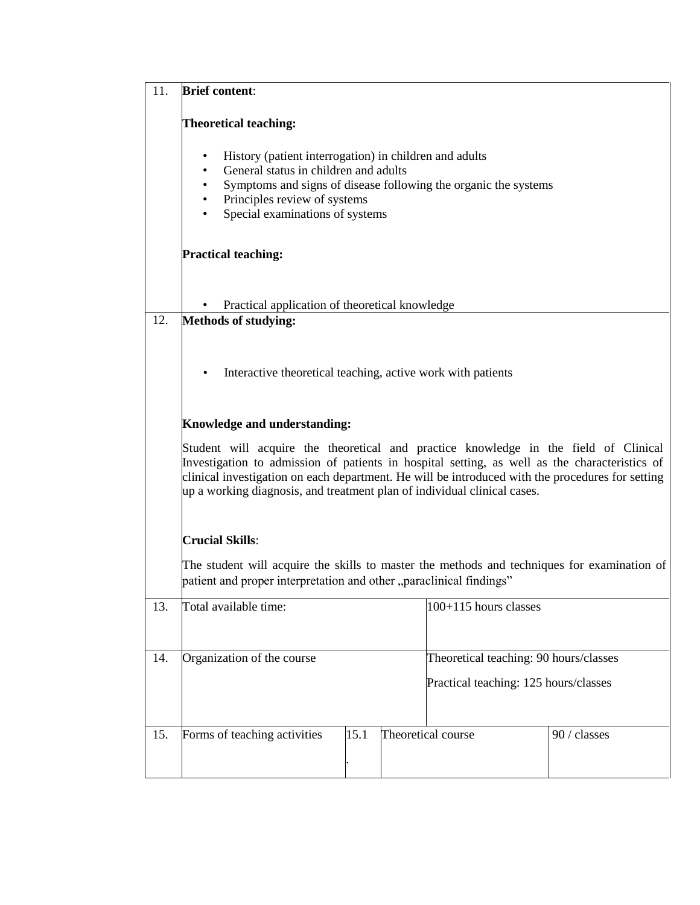| 11. | <b>Brief content:</b>                                                                                                                                                                                                                                                                                                                                                 |                                        |              |
|-----|-----------------------------------------------------------------------------------------------------------------------------------------------------------------------------------------------------------------------------------------------------------------------------------------------------------------------------------------------------------------------|----------------------------------------|--------------|
|     | <b>Theoretical teaching:</b>                                                                                                                                                                                                                                                                                                                                          |                                        |              |
|     | History (patient interrogation) in children and adults<br>$\bullet$<br>General status in children and adults<br>$\bullet$<br>Symptoms and signs of disease following the organic the systems<br>$\bullet$<br>Principles review of systems<br>$\bullet$<br>Special examinations of systems<br>$\bullet$                                                                |                                        |              |
|     | <b>Practical teaching:</b>                                                                                                                                                                                                                                                                                                                                            |                                        |              |
|     | Practical application of theoretical knowledge                                                                                                                                                                                                                                                                                                                        |                                        |              |
| 12. | <b>Methods of studying:</b>                                                                                                                                                                                                                                                                                                                                           |                                        |              |
|     | Interactive theoretical teaching, active work with patients<br>$\bullet$                                                                                                                                                                                                                                                                                              |                                        |              |
|     | Knowledge and understanding:                                                                                                                                                                                                                                                                                                                                          |                                        |              |
|     | Student will acquire the theoretical and practice knowledge in the field of Clinical<br>Investigation to admission of patients in hospital setting, as well as the characteristics of<br>clinical investigation on each department. He will be introduced with the procedures for setting<br>up a working diagnosis, and treatment plan of individual clinical cases. |                                        |              |
|     | <b>Crucial Skills:</b>                                                                                                                                                                                                                                                                                                                                                |                                        |              |
|     | The student will acquire the skills to master the methods and techniques for examination of<br>patient and proper interpretation and other "paraclinical findings"                                                                                                                                                                                                    |                                        |              |
| 13. | Total available time:                                                                                                                                                                                                                                                                                                                                                 | 100+115 hours classes                  |              |
| 14. | Organization of the course                                                                                                                                                                                                                                                                                                                                            | Theoretical teaching: 90 hours/classes |              |
|     |                                                                                                                                                                                                                                                                                                                                                                       | Practical teaching: 125 hours/classes  |              |
| 15. | 15.1<br>Forms of teaching activities                                                                                                                                                                                                                                                                                                                                  | Theoretical course                     | 90 / classes |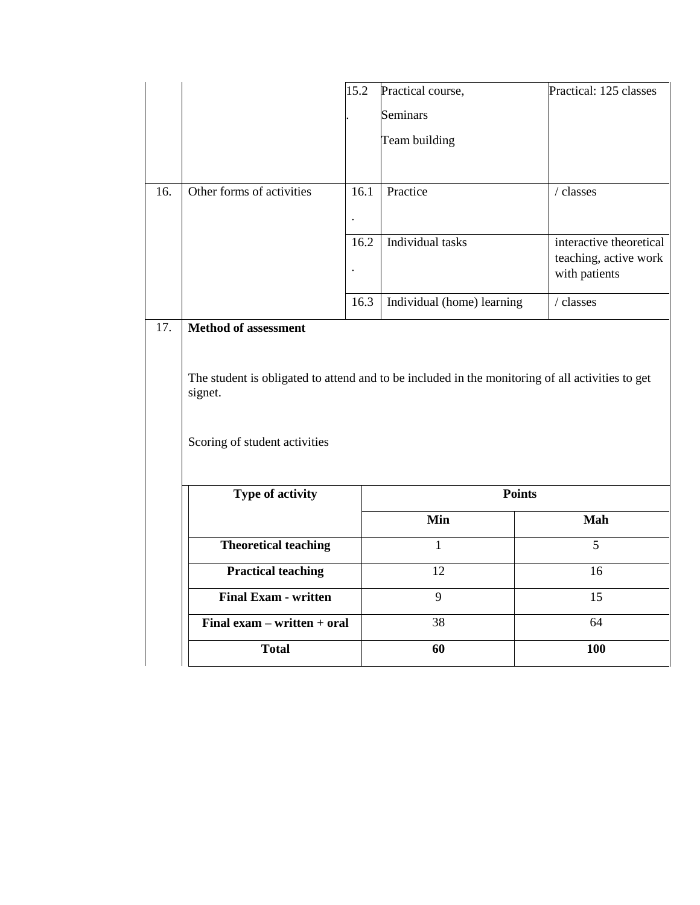|     |                                                                                                             | 15.2                 | Practical course,          | Practical: 125 classes                           |
|-----|-------------------------------------------------------------------------------------------------------------|----------------------|----------------------------|--------------------------------------------------|
|     |                                                                                                             |                      | Seminars                   |                                                  |
|     |                                                                                                             |                      | Team building              |                                                  |
|     |                                                                                                             |                      |                            |                                                  |
| 16. | Other forms of activities                                                                                   | 16.1                 | Practice                   | $\prime$ classes                                 |
|     |                                                                                                             | $\ddot{\phantom{a}}$ |                            |                                                  |
|     |                                                                                                             | 16.2                 | Individual tasks           | interactive theoretical<br>teaching, active work |
|     |                                                                                                             | $\ddot{\phantom{a}}$ |                            | with patients                                    |
|     |                                                                                                             | 16.3                 | Individual (home) learning | / classes                                        |
| 17. | Method of assessment                                                                                        |                      |                            |                                                  |
|     |                                                                                                             |                      |                            |                                                  |
|     | The student is obligated to attend and to be included in the monitoring of all activities to get<br>signet. |                      |                            |                                                  |
|     | Scoring of student activities                                                                               |                      |                            |                                                  |
|     | Type of activity                                                                                            |                      | <b>Points</b>              |                                                  |
|     |                                                                                                             |                      | Min                        | Mah                                              |
|     | <b>Theoretical teaching</b>                                                                                 |                      | $\mathbf{1}$               | 5                                                |
|     | <b>Practical teaching</b>                                                                                   |                      | 12                         | 16                                               |
|     | <b>Final Exam - written</b>                                                                                 |                      | 9                          | 15                                               |
|     | Final exam - written + oral                                                                                 |                      | 38                         | 64                                               |
|     | <b>Total</b>                                                                                                |                      | 60                         | 100                                              |